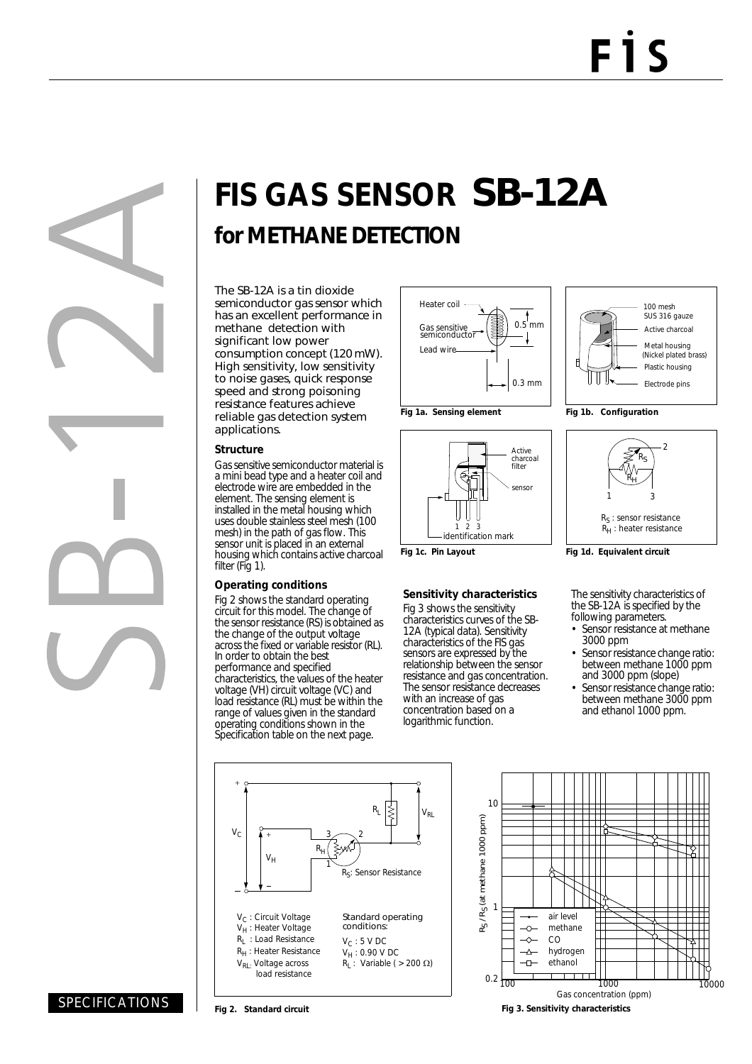# **FIS GAS SENSOR** SB-12A **for METHANE DETECTION**

The SB-12A is a tin dioxide semiconductor gas sensor which has an excellent performance in methane detection with significant low power consumption concept (120 mW). High sensitivity, low sensitivity to noise gases, quick response speed and strong poisoning resistance features achieve reliable gas detection system applications.

#### **Structure**

Gas sensitive semiconductor material is a mini bead type and a heater coil and electrode wire are embedded in the element. The sensing element is installed in the metal housing which uses double stainless steel mesh (100 mesh) in the path of gas flow. This sensor unit is placed in an external housing which contains active charcoal filter (Fig 1).

### **Operating conditions**

Fig 2 shows the standard operating circuit for this model. The change of the sensor resistance (RS) is obtained as the change of the output voltage across the fixed or variable resistor (RL). In order to obtain the best performance and specified characteristics, the values of the heater<br>voltage (VH) circuit voltage (VC) and load resistance (RL) must be within the range of values given in the standard operating conditions shown in the Specification table on the next page.







#### **Sensitivity characteristics**

Fig 3 shows the sensitivity characteristics curves of the SB-12A (typical data). Sensitivity characteristics of the FIS gas sensors are expressed by the relationship between the sensor resistance and gas concentration. The sensor resistance decreases with an increase of gas concentration based on a logarithmic function.



**Fig 1b. Configuration**



**Fig 1d. Equivalent circuit**

The sensitivity characteristics of the SB-12A is specified by the following parameters.

- Sensor resistance at methane 3000 ppm
- Sensor resistance change ratio: between methane 1000 ppm and 3000 ppm (slope)
- Sensor resistance change ratio: between methane 3000 ppm and ethanol 1000 ppm.





SPECIFICATIONS